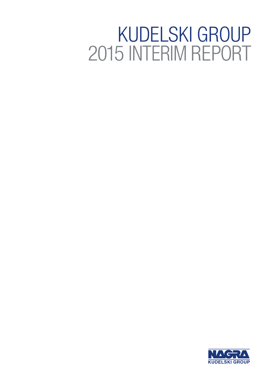# KUDELSKI GROUP 2015 INTERIM REPORT

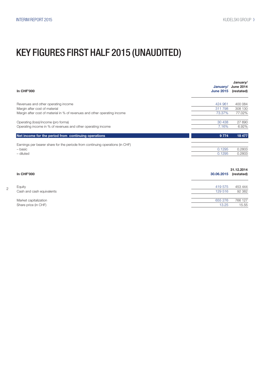### KEY FIGURES FIRST HALF 2015 (UNAUDITED)

| <b>In CHF'000</b>                                                             | January/<br><b>June 2015</b> | January/<br><b>June 2014</b><br>(restated) |
|-------------------------------------------------------------------------------|------------------------------|--------------------------------------------|
| Revenues and other operating income                                           | 424 961                      | 400 084                                    |
| Margin after cost of material                                                 | 311798                       | 308 130                                    |
| Margin after cost of material in % of revenues and other operating income     | 73.37%                       | 77.02%                                     |
| Operating (loss)/income (pro forma)                                           | 30 438                       | 27 690                                     |
| Operating income in % of revenues and other operating income                  | 7.16%                        | 6.92%                                      |
| Net income for the period from continuing operations                          | 9774                         | 18 477                                     |
| Earnings per bearer share for the periode from continuing operations (in CHF) |                              |                                            |
| - basic                                                                       | 0.1295                       | 0.2803                                     |
| - diluted                                                                     | 0.1295                       | 0.2803                                     |
| In CHF'000                                                                    | 30.06.2015                   | 31.12.2014<br>(restated)                   |
| Equity                                                                        | 419 575                      | 453 444                                    |
| Cash and cash equivalents                                                     | 129 516                      | 92 382                                     |

Market capitalization 655 276 766 127 Share price (in CHF) 13.25 15.55

2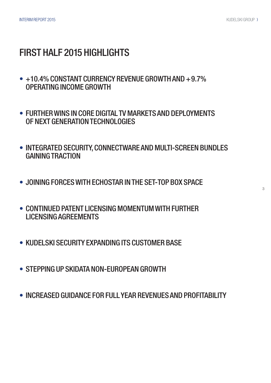### FIRST HALF 2015 HIGHLIGHTS

- +10.4% CONSTANT CURRENCY REVENUE GROWTH AND +9.7% OPERATING INCOME GROWTH
- FURTHER WINS IN CORE DIGITAL TV MARKETS AND DEPLOYMENTS OF NEXT GENERATION TECHNOLOGIES
- INTEGRATED SECURITY, CONNECTWARE AND MULTI-SCREEN BUNDLES GAINING TRACTION
- JOINING FORCES WITH ECHOSTAR IN THE SET-TOP BOX SPACE
- CONTINUED PATENT LICENSING MOMENTUM WITH FURTHER LICENSING AGREEMENTS
- KUDELSKI SECURITY EXPANDING ITS CUSTOMER BASE
- STEPPING UP SKIDATA NON-EUROPEAN GROWTH
- INCREASED GUIDANCE FOR FULL YEAR REVENUES AND PROFITABILITY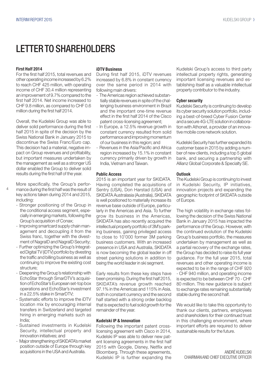### LETTER TO SHAREHOLDERS

#### First Half 2014

For the first half 2015, total revenues and other operating income increased by 6.2% to reach CHF 425 million, with operating income of CHF 30.4 million representing an improvement of 9.7% compared to the first half 2014. Net income increased to CHF 9.8 million, as compared to CHF 0.6 million during the first half 2014.

Overall, the Kudelski Group was able to deliver solid performance during the first half 2015 in spite of the decision by the Swiss National Bank in January 2015 to discontinue the Swiss Franc/Euro cap. This decision had a material, negative impact on Group revenues and profitability, but important measures undertaken by the management as well as a stronger US dollar enabled the Group to deliver solid results during the first half of the year.

- 4
	- More specifically, the Group's performance during the first half was the result of key actions taken during 2014 and 2015, including:
		- Stronger positioning of the Group in the conditional access segment, especially in emerging markets, following the Group's acquisition of Conax;
		- Improving smartcard supply chain management and decoupling it from the Swiss franc, together with the divestment of NagraID and NagraID Security;
		- Further optimizing the Group's Integrated Digital TV (iDTV) portfolio by divesting the traffic and billing business as well as continuing to improve the existing cost structure;
		- Deepening the Group's relationship with EchoStar through SmarDTV's acquisition of EchoStar's European set-top box operations and EchoStar's investment in a 22.5% stake in SmarDTV;
		- Systematic efforts to improve the iDTV location mix by encouraging internal transfers in Switzerland and targeted hiring in emerging markets such as India;
		- Sustained investments in Kudelski Security, intellectual property and innovation initiatives; and
		- Major strengthening of SKIDATA's market position outside of Europe through key acquisitions in the USA and Australia.

#### iDTV Business

During first half 2015, iDTV revenues increased by 6.8% in constant currency over the same period in 2014 with following main drivers:

- The Americas region achieved substantially stable revenues in spite of the challenging business environment in Brazil and the important one-time revenue effect in the first half 2014 of the Cisco patent cross-licensing agreement;
- In Europe, a 12.5% revenue growth in constant currency resulted from solid performance and improving momentum of our business in this region; and
- Revenues in the Asia/Pacific and Africa region increased by 15.1% in constant currency primarily driven by growth in India, Vietnam and Taiwan.

#### Public Access

2015 is an important year for SKIDATA. Having completed the acquisitions of Sentry (USA), Don Harstad (USA) and SKIDATA Australasia (Australia), SKIDATA is well positioned to materially increase its revenue base outside of Europe, particularly in the Americas and Asia. To further grow its business in the Americas, SKIDATA has also recently acquired the intellectual property portfolio of 3M's parking business, gaining privileged access to close to 10'000 former 3M parking business customers. With an increased presence in USA and Australia, SKIDATA is now becoming the global leader in off street parking solutions in addition to being the world leader in ski segment.

Early results from these key steps have been promising. During the first half 2015, SKIDATA's revenue growth reached 97.1% in the Americas and 115% in Asia, both in constant currency and the second half started with a strong order backlog that is expected to fuel solid growth for the remainder of the year.

#### Kudelski IP & Innovation

Following the important patent crosslicensing agreement with Cisco in 2014, Kudelski IP was able to deliver new patent licensing agreements in the first half 2015 with Google, Disney, Netflix and Bloomberg. Through these agreements, Kudelski IP is further expanding the

Kudelski Group's access to third party intellectual property rights, generating important licensing revenues and establishing itself as a valuable intellectual property contributor to the industry.

#### Cyber security

Kudelski Security is continuing to develop its cyber security solution portfolio, including a best-of-breed Cyber Fusion Center and a secure 4G-LTE solution in collaboration with Athonet, a provider of an innovative mobile core network solution.

Kudelski Security has further expanded its customer base in 2015 by adding a number of new clients, including a top 5 global bank, and securing a partnership with Allianz Global Corporate & Specialty SE.

#### Outlook

The Kudelski Group is continuing to invest in Kudelski Security, IP initiatives, innovation projects and expanding the geographic footprint of SKIDATA outside of Europe.

The high volatility in exchange rates following the decision of the Swiss National Bank in January 2015 has impacted the performance of the Group. However, with the continued evolution of the Kudelski Group's business portfolio, the measures undertaken by management as well as a partial recovery of the exchange rates, the Group has decided to raise its full year guidance. For the full year 2015, total revenues and other operating income is expected to be in the range of CHF 920 - CHF 940 million, and operating income is expected to be between CHF 70 - CHF 80 million. This new guidance is subject to exchange rates remaining substantially stable during the second half.

We would like to take this opportunity to thank our clients, partners, employees and shareholders for their continued trust in this challenging environment, where important efforts are required to deliver sustainable results for the future.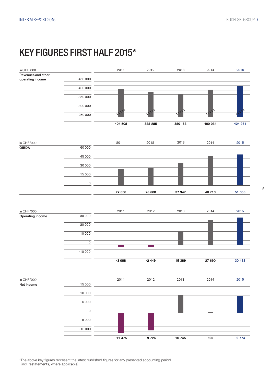### KEY FIGURES FIRST HALF 2015\*



\*The above key figures represent the latest published figures for any presented accounting period (incl. restatements, where applicable).

5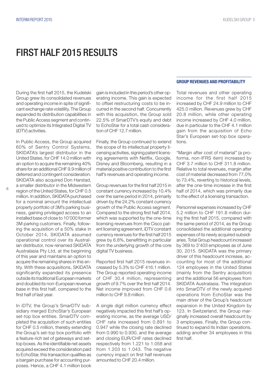### FIRST HALF 2015 RESULTS

During the first half 2015, the Kudelski Group grew its consolidated revenues and operating income in spite of significant exchange rate volatility. The Group expanded its distribution capabilities in the Public Access segment and continued to optimize its Integrated Digital TV (iDTV) activities.

In Public Access, the Group acquired 60% of Sentry Control Systems, SKIDATA's largest distributor in the United States, for CHF 14.0 million with an option to acquire the remaining 40% share for an additional CHF 9.9 million of deferred and contingent consideration. SKIDATA also acquired Don Harstad, a smaller distributor in the Midwestern region of the United States, for CHF 0.5 million. In addition, SKIDATA purchased for a nominal amount the intellectual property portfolio of 3M's parking business, gaining privileged access to an installed base of close to 10'000 former 3M parking customers. Finally, following the acquisition of a 50% stake in October 2014, SKIDATA assumed operational control over its Australian distributor, now renamed SKIDATA Australasia Pty Ltd, at the beginning of this year and maintains an option to acquire the remaining shares in this entity. With these acquisitions, SKIDATA significantly expanded its presence outside its traditional European markets and doubled its non-European revenue base in this first half, compared to the first half of last year.

In iDTV, the Group's SmarDTV subsidiary merged EchoStar's European set-top box entities. SmarDTV completed the acquisition of such entities for CHF 0.5 million, thereby extending the Group's set-top box portfolio with a feature-rich set of gateways and settop boxes. As the identifiable net assets acquired exceed the consideration paid to EchoStar, this transaction qualifies as a bargain purchase for accounting purposes. Hence, a CHF 4.1 million book

gain is included in this period's other operating income. This gain is expected to offset restructuring costs to be incurred in the second half. Concurrently with this acquisition, the Group sold 22.5% of SmarDTV's equity and debt to EchoStar for a total cash consideration of CHF 12.7 million.

Finally, the Group continued to extend the scope of its intellectual property licensing activities, signing patent licensing agreements with Netflix, Google, Disney and Bloomberg, resulting in a material positive contribution to the first half's revenues and operating income.

Group revenues for the first half 2015 in constant currency increased by 10.4% over the same period in 2014, primarily driven by the 24.2% constant currency growth of the Public Access segment. Compared to the strong first half 2014, which was supported by the one-time licensing revenues from the Cisco patent licensing agreement, iDTV constant currency revenues for the first half 2015 grew by 6.8%, benefitting in particular from the underlying growth of the core digital TV business.

Reported first half 2015 revenues increased by 5.3% to CHF 416.1 million. The Group reported operating income of CHF 30.4 million, representing growth of 9.7% over the first half 2014. Net income improved from CHF 0.6 million to CHF 9.8 million.

A single digit million currency effect negatively impacted this first half's operating income, as the average USD/ CHF rate increased from 0.891 to 0.947 while the closing rate declined from 0.990 to 0.930, and the average and closing EUR/CHF rates declined respectively from 1.221 to 1.058 and from 1.203 to 1.043. The negative currency impact on first half revenues amounted to CHF 20.4 million.

#### GROUP REVENUES AND PROFITABILITY

Total revenues and other operating income for the first half 2015 increased by CHF 24.9 million to CHF 425.0 million. Revenues grew by CHF 20.8 million, while other operating income increased by CHF 4.0 million, due in particular to the CHF 4.1 million gain from the acquisition of Echo Star's European set-top box operations.

"Margin after cost of material" (a proforma, non-IFRS item) increased by CHF 3.7 million to CHF 311.8 million. Relative to total revenues, margin after cost of material decreased from 77.0% to 73.4%, reverting to historical levels, after the one-time increase in the first half of 2014, which was primarily due to the effect of a licensing transaction.

Personnel expenses increased by CHF 5.2 million to CHF 191.8 million during the first half 2015, compared with the same period of 2014, as the Group consolidated the additional operating expenses of its newly acquired subsidiaries. Total Group headcount increased by 369 to 3'403 employees as of June 30, 2015. SKIDATA was the primary driver of this headcount increase, accounting for most of the additional 124 employees in the United States (mainly from the Sentry acquisition) and the additional 56 employees from SKIDATA Australasia. The integration into SmarDTV of the newly acquired operations from EchoStar was the main driver of the Group's headcount expansion in the United Kingdom by 123. In Switzerland, the Group marginally increased overall headcount by 3 employees. Finally, the Group continued to expand its Indian operations, adding another 34 employees in this first half.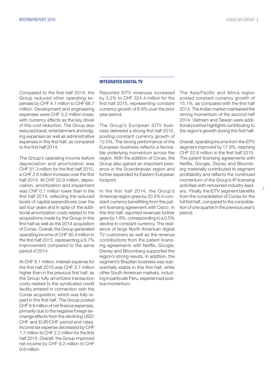Compared to the first half 2014, the Group reduced other operating expenses by CHF 4.1 million to CHF 68.7 million. Development and engineering expenses were CHF 3.2 million lower, with currency effects as the key driver of this cost reduction. The Group also reduced travel, entertainment and lodging expenses as well as administrative expenses in this first half, as compared to the first half 2014.

The Group's operating income before depreciation and amortization was CHF 51.3 million for the first half 2015, a CHF 2.6 million increase over the first half 2014. At CHF 20.9 million, depreciation, amortization and impairment was CHF 0.1 million lower than in the first half 2014, reflecting the reduced levels of capital expenditures over the last four years and in spite of the additional amortization costs related to the acquisitions made by the Group in this first half as well as the 2014 acquisition of Conax. Overall, the Group generated operating income of CHF 30.4 million in the first half 2015, representing a 9.7% improvement compared to the same period of 2014.

At CHF 9.1 million, interest expense for the first half 2015 was CHF 3.7 million higher than in the previous first half, as the Group fully amortized transaction costs related to the syndicated credit facility entered in connection with the Conax acquisition, which was fully repaid in this first half. The Group posted CHF 9.8 million of net finance expenses, primarily due to the negative foreign exchange effects from the declining USD/ CHF and EUR/CHF period end rates. Income tax expense decreased by CHF 1.7 million to CHF 2.2 million for the first half 2015. Overall, the Group improved net income by CHF 9.2 million to CHF 9.8 million.

#### INTEGRATED DIGITAL TV

Reported iDTV revenues increased by 3.2% to CHF 324.4 million for the first half 2015, representing constant currency growth of 6.8% over the prior year period.

The Group's European iDTV business delivered a strong first half 2015, posting constant currency growth of 12.5%. The strong performance of the European business reflects a favorable underlying momentum across the region. With the addition of Conax, the Group also gained an important presence in the Scandinavian region and further expanded its Eastern European footprint.

In the first half 2014, the Group's Americas region grew by 20.5% in constant currency benefitting from the patent licensing agreement with Cisco. In this first half, reported revenues further grew by 1.8%, corresponding to a 0.5% decline in constant currency. The resilience of large North American digital TV customers as well as the revenue contributions from the patent licensing agreements with Netflix, Google, Disney and Bloomberg supported the region's strong results. In addition, the segment's Brazilian business was substantially stable in this first half, while other South American markets, including in particular Peru, experienced positive momentum.

The Asia/Pacific and Africa region posted constant currency growth of 15.1%, as compared with the first half 2014. The Indian market maintained the strong momentum of the second half 2014. Vietnam and Taiwan were additional positive highlights contributing to the region's growth during this first half.

Overall, operating income from the iDTV segment improved by 17.9%, reaching CHF 52.6 million in the first half 2015. The patent licensing agreements with Netflix, Google, Disney and Bloomberg materially contributed to segment profitability and reflects the continued momentum of the Group's IP licensing activities with renowned industry leaders. Finally, the iDTV segment benefits from the consolidation of Conax for the full first half, compared to the consolidation of one quarter in the previous year's period.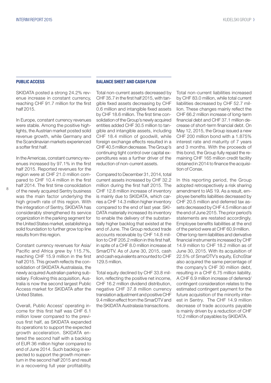#### PUBLIC ACCESS

SKIDATA posted a strong 24.2% revenue increase in constant currency, reaching CHF 91.7 million for the first half 2015.

In Europe, constant currency revenues were stable. Among the positive highlights, the Austrian market posted solid revenue growth, while Germany and the Scandinavian markets experienced a softer first half.

In the Americas, constant currency revenues increased by 97.1% in the first half 2015. Reported revenues for the region were at CHF 21.0 million compared to CHF 10.4 million in the first half 2014. The first time consolidation of the newly acquired Sentry business was the main factor underlying the high growth rate of this region. With the integration of Sentry, SKIDATA has considerably strengthened its service organization in the parking segment for the United States market, establishing a solid foundation to further grow top line results from this region.

Constant currency revenues for Asia/ Pacific and Africa grew by 115.7%, reaching CHF 15.9 million in the first half 2015. This growth reflects the consolidation of SKIDATA Australasia, the newly acquired Australian parking subsidiary. Following this acquisition, Australia is now the second largest Public Access market for SKIDATA after the United States.

Overall, Public Access' operating income for this first half was CHF 6.1 million lower compared to the previous first half, as SKIDATA expanded its operations to support the expected growth acceleration. SKIDATA entered the second half with a backlog of EUR 36 million higher compared to end of June 2014. Such backlog is expected to support the growth momentum in the second half 2015 and result in a recovering full year profitability.

#### BALANCE SHEET AND CASH FLOW

Total non-current assets decreased by CHF 35.7 in the first half 2015, with tangible fixed assets decreasing by CHF 0.6 million and intangible fixed assets by CHF 18.6 million. The first time consolidation of the Group's newly acquired entities added CHF 30.5 million to tangible and intangible assets, including CHF 18.4 million of goodwill, while foreign exchange effects resulted in a CHF 40.5 million decrease. The Group's continuing tight control over capital expenditures was a further driver of the reduction of non-current assets.

Compared to December 31, 2014, total current assets increased by CHF 32.2 million during the first half 2015. The CHF 12.8 million increase of inventory is mainly due to SKIDATA, which carries a CHF 14.3 million higher inventory compared to the end of last year. SKI-DATA materially increased its inventory to enable the delivery of the substantially higher backlog that existed at the end of June. The Group reduced trade accounts receivable by CHF 14.8 million to CHF 205.2 million in this first half, in spite of a CHF 8.0 million increase at SmarDTV. As of June 30, 2015, cash and cash equivalents amounted to CHF 129.5 million.

Total equity declined by CHF 33.8 million, reflecting the positive net income, CHF 16.2 million dividend distribution, negative CHF 37.8 million currency translation adjustment and positive CHF 9.4 million effect from the SmarDTV and the SKIDATA Australasia transactions.

Total non-current liabilities increased by CHF 83.0 million, while total current liabilities decreased by CHF 52.7 million. These changes mainly reflect the CHF 66.2 million increase of long-term financial debt and CHF 37.1 million decrease of short-term financial debt. On May 12, 2015, the Group issued a new CHF 200 million bond with a 1.875% interest rate and maturity of 7 years and 3 months. With the proceeds of this bond, the Group fully repaid the remaining CHF 165 million credit facility obtained in 2014 to finance the acquisition of Conax.

In this reporting period, the Group adopted retrospectively a risk sharing amendment to IAS 19. As a result, employee benefits liabilities decreased by CHF 20.5 million and deferred tax assets decreased by CHF 4.5 million as of the end of June 2015. The prior period's statements are restated accordingly. Employee benefits liabilities at the end of the period were at CHF 60.9 million. Other long-term liabilities and derivative financial instruments increased by CHF 14.9 million to CHF 18.2 million as of June 30, 2015. With its acquisition of 22.5% of SmarDTV's equity, EchoStar also acquired the same percentage of the company's CHF 30 million debt, resulting in a CHF 6.75 million liability. A CHF 6.9 million increase of deferred/ contingent consideration relates to the estimated contingent payment for the future acquisition of the minority interest in Sentry. The CHF 14.9 million decrease of trade accounts payable is mainly driven by a reduction of CHF 10.2 million of payables by SKIDATA.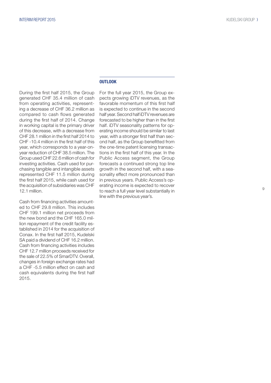During the first half 2015, the Group generated CHF 35.4 million of cash from operating activities, represent ing a decrease of CHF 36.2 million as compared to cash flows generated during the first half of 2014. Change in working capital is the primary driver of this decrease, with a decrease from CHF 28.1 million in the first half 2014 to CHF -10.4 million in the first half of this year, which corresponds to a year-onyear reduction of CHF 38.5 million. The Group used CHF 22.6 million of cash for investing activities. Cash used for pur chasing tangible and intangible assets represented CHF 11.5 million during the first half 2015, while cash used for the acquisition of subsidiaries was CHF 12.1 million.

Cash from financing activities amount ed to CHF 29.8 million. This includes CHF 199.1 million net proceeds from the new bond and the CHF 165.0 mil lion repayment of the credit facility es tablished in 2014 for the acquisition of Conax. In the first half 2015, Kudelski SA paid a dividend of CHF 16.2 million. Cash from financing activities includes CHF 12.7 million proceeds received for the sale of 22.5% of SmarDTV. Overall, changes in foreign exchange rates had a CHF -5.5 million effect on cash and cash equivalents during the first half 2015.

#### **OUTLOOK**

For the full year 2015, the Group ex pects growing iDTV revenues, as the favorable momentum of this first half is expected to continue in the second half year. Second half iDTV revenues are forecasted to be higher than in the first half. iDTV seasonality patterns for op erating income should be similar to last year, with a stronger first half than sec ond half, as the Group benefitted from the one-time patent licensing transac tions in the first half of this year. In the Public Access segment, the Group forecasts a continued strong top line growth in the second half, with a sea sonality effect more pronounced than in previous years. Public Access's op erating income is expected to recover to reach a full year level substantially in line with the previous year's.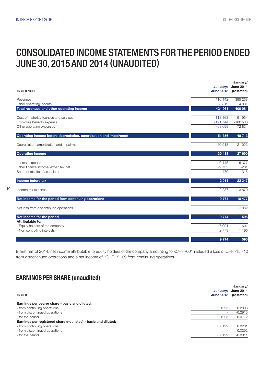### CONSOLIDATED INCOME STATEMENTS FOR THE PERIOD ENDED JUNE 30, 2015 AND 2014 (UNAUDITED)

| <b>In CHF'000</b>                                                 | January/<br><b>June 2015</b> | January/<br><b>June 2014</b><br>(restated) |
|-------------------------------------------------------------------|------------------------------|--------------------------------------------|
| Revenues                                                          | 416 142                      | 395 253                                    |
| Other operating income                                            | 8819                         | 4831                                       |
| Total revenues and other operating income                         | 424 961                      | 400 084                                    |
| Cost of material, licenses and services                           | $-113163$                    | $-91954$                                   |
| Employee benefits expense                                         | $-191744$                    | $-186583$                                  |
| Other operating expenses                                          | $-68698$                     | $-72834$                                   |
| Operating income before depreciation, amortization and impairment | 51 356                       | 48 713                                     |
| Depreciation, amortization and impairment                         | $-20918$                     | $-21023$                                   |
| <b>Operating income</b>                                           | 30 438                       | 27 690                                     |
| Interest expense                                                  | $-9145$                      | $-5377$                                    |
| Other finance income/(expense), net                               | $-9752$                      | $-281$                                     |
| Share of results of associates                                    | 470                          | 315                                        |
| Income before tax                                                 | 12 011                       | 22 347                                     |
| Income tax expense                                                | $-2237$                      | $-3870$                                    |
| Net income for the period from continuing operations              | 9 7 7 4                      | 18 477                                     |
| Net loss from discontinued operations                             |                              | $-17882$                                   |
| Net income for the period                                         | 9774                         | 595                                        |
| Attributable to:<br>- Equity holders of the company               | 7 0 0 1                      | $-601$                                     |
| - Non controlling interests                                       | 2 7 7 3                      | 1 1 9 6                                    |
|                                                                   |                              |                                            |
|                                                                   | 9774                         | 595                                        |

In first half of 2014, net income attributable to equity holders of the company amounting to kCHF -601 included a loss of CHF -15 710 from discontinued operations and a net income of kCHF 15109 from continuing operations.

### EARNINGS PER SHARE (unaudited)

| In CHF                                                          | January/<br><b>June 2015</b> | January/<br><b>June 2014</b><br>(restated) |
|-----------------------------------------------------------------|------------------------------|--------------------------------------------|
| Earnings per bearer share - basic and diluted:                  |                              |                                            |
| - from continuing operations                                    | 0.1295                       | 0.2803                                     |
| - from discontinued operations                                  | -                            | $-0.2915$                                  |
| - for the period                                                | 0.1295                       | $-0.0112$                                  |
| Earnings per registered share (not listed) - basic and diluted: |                              |                                            |
| - from continuing operations                                    | 0.0129                       | 0.0281                                     |
| - from discontinued operations                                  |                              | $-0.0292$                                  |
| - for the period                                                | 0.0129                       | $-0.0011$                                  |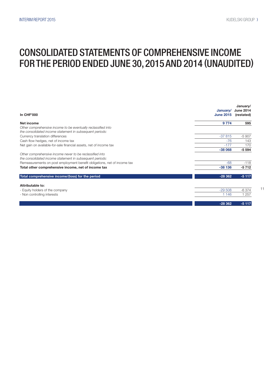### CONSOLIDATED STATEMENTS OF COMPREHENSIVE INCOME FOR THE PERIOD ENDED JUNE 30, 2015 AND 2014 (UNAUDITED)

| <b>In CHF'000</b>                                                                                                         | January/<br><b>June 2015</b> | January/<br><b>June 2014</b><br>(restated) |
|---------------------------------------------------------------------------------------------------------------------------|------------------------------|--------------------------------------------|
| Net income                                                                                                                | 9 7 7 4                      | 595                                        |
| Other comprehensive income to be eventually reclassified into<br>the consolidated income statement in subsequent periods: |                              |                                            |
| Currency translation differences                                                                                          | $-37815$                     | $-5907$                                    |
| Cash flow hedges, net of income tax                                                                                       | $-76$                        | 143                                        |
| Net gain on available-for-sale financial assets, net of income tax                                                        | $-177$                       | 170                                        |
|                                                                                                                           | $-38068$                     | $-5594$                                    |
| Other comprehensive income never to be reclassified into<br>the consolidated income statement in subsequent periods:      |                              |                                            |
| Remeasurements on post employment benefit obligations, net of income tax                                                  | $-68$                        | $-118$                                     |
| Total other comprehensive income, net of income tax                                                                       | $-38136$                     | $-5712$                                    |
| Total comprehensive income/(loss) for the period                                                                          | $-28362$                     | $-5117$                                    |
| Attributable to:                                                                                                          |                              |                                            |
| - Equity holders of the company                                                                                           | $-29508$                     | $-6374$                                    |
| - Non controlling interests                                                                                               | 1 1 4 6                      | 1 2 5 7                                    |
|                                                                                                                           | $-28362$                     | $-5117$                                    |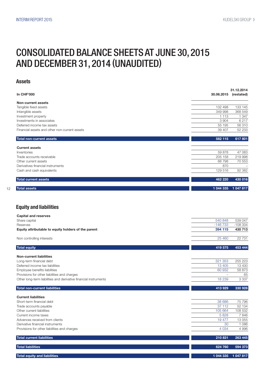### CONSOLIDATED BALANCE SHEETS AT JUNE 30, 2015 AND DECEMBER 31, 2014 (UNAUDITED)

#### Assets

|                                               |            | 31.12.2014 |
|-----------------------------------------------|------------|------------|
| <b>In CHF'000</b>                             | 30.06.2015 | (restated) |
| Non-current assets                            |            |            |
| Tangible fixed assets                         | 132 498    | 133 145    |
| Intangible assets                             | 349 998    | 368 549    |
| Investment property                           | 1 1 1 3    | 1 3 4 7    |
| Investments in associates                     | 3 9 0 4    | 6217       |
| Deferred income tax assets                    | 55 195     | 56 310     |
| Financial assets and other non-current assets | 39 407     | 52 233     |
| <b>Total non-current assets</b>               | 582 115    | 617 801    |
| <b>Current assets</b>                         |            |            |
| Inventories                                   | 59 878     | 47 083     |
| Trade accounts receivable                     | 205 158    | 219 998    |
| Other current assets                          | 66798      | 70 553     |
| Derivatives financial instruments             | 870        |            |
| Cash and cash equivalents                     | 129 516    | 92 382     |
| <b>Total current assets</b>                   | 462 220    | 430 016    |
| <b>Total assets</b>                           | 1 044 335  | 1 047 817  |

#### Equity and liabilities

12

| <b>Capital and reserves</b>                                      |           |           |
|------------------------------------------------------------------|-----------|-----------|
| Share capital                                                    | 540 848   | 539 047   |
| Reserves                                                         | $-146733$ | $-108334$ |
| Equity attributable to equity holders of the parent              | 394 115   | 430 713   |
| Non controlling interests                                        | 25 4 60   | 22 7 31   |
| <b>Total equity</b>                                              | 419 575   | 453 444   |
| <b>Non-current liabilities</b>                                   |           |           |
| Long-term financial debt                                         | 321 353   | 255 223   |
| Deferred income tax liabilities                                  | 13 4 05   | 13 4 30   |
| Employee benefits liabilities                                    | 60 932    | 58 873    |
| Provisions for other liabilities and charges                     |           | 65        |
| Other long-term liabilities and derivative financial instruments | 18 239    | 3 3 3 7   |
| Total non-current liabilities                                    | 413929    | 330 928   |

| <b>Current liabilities</b>                   |           |           |
|----------------------------------------------|-----------|-----------|
| Short-term financial debt                    | 38 686    | 75 796    |
| Trade accounts payable                       | 37 112    | 52 134    |
| Other current liabilities                    | 105 664   | 108 532   |
| Current income taxes                         | 5828      | 7846      |
| Advances received from clients               | 19477     | 13 0 55   |
| Derivative financial instruments             | 30        | 1086      |
| Provisions for other liabilities and charges | 4 0 3 4   | 4 9 9 6   |
| <b>Total current liabilities</b>             | 210831    | 263 445   |
| <b>Total liabilities</b>                     | 624 760   | 594 373   |
| <b>Total equity and liabilities</b>          | 1 044 335 | 1 047 817 |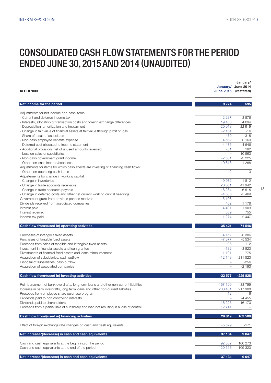### CONSOLIDATED CASH FLOW STATEMENTS FOR THE PERIOD ENDED JUNE 30, 2015 AND 2014 (UNAUDITED)

| <b>In CHF'000</b>                                                                                                                                                     | June 2015 (restated)     | January/<br>January/ June 2014 |
|-----------------------------------------------------------------------------------------------------------------------------------------------------------------------|--------------------------|--------------------------------|
| Net income for the period                                                                                                                                             | 9 7 7 4                  | 595                            |
| Adjustments for net income non-cash items:                                                                                                                            |                          |                                |
| - Current and deferred income tax                                                                                                                                     | 2 2 3 7                  | 3876                           |
| - Interests, allocation of transaction costs and foreign exchange differences                                                                                         | 19 4 33                  | 4 6 9 4                        |
| - Depreciation, amortization and impairment                                                                                                                           | 20918                    | 22919                          |
| - Change in fair value of financial assets at fair value through profit or loss<br>- Share of result of associates                                                    | $-2164$                  | $-16$                          |
| - Non-cash employee benefits expense                                                                                                                                  | $-470$<br>4 5 6 2        | $-315$<br>3 1 6 9              |
| - Deferred cost allocated to income statement                                                                                                                         | 4 4 7 5                  | 4 6 4 6                        |
| - Additional provisions net of unused amounts reversed                                                                                                                | $-81$                    | 182                            |
| - Loss on sales of subsidiaries                                                                                                                                       | $\overline{\phantom{0}}$ | 10 563                         |
| - Non-cash government grant income                                                                                                                                    | $-2531$                  | $-3225$                        |
| - Other non-cash income/expenses                                                                                                                                      | $-10613$                 | $-1268$                        |
| Adjustments for items for which cash effects are investing or financing cash flows:                                                                                   |                          |                                |
| - Other non operating cash items                                                                                                                                      | $-42$                    | $-3$                           |
| Adjustements for change in working capital:                                                                                                                           |                          |                                |
| - Change in inventories<br>- Change in trade accounts receivable                                                                                                      | $-9972$<br>20 651        | $-1812$<br>41 942              |
| - Change in trade accounts payable                                                                                                                                    | $-16284$                 | $-6515$                        |
| - Change in deferred costs and other net current working capital headings                                                                                             | $-4836$                  | $-5469$                        |
| Government grant from previous periods received                                                                                                                       | 5 1 0 8                  |                                |
| Dividends received from associated companies                                                                                                                          | 462                      | 1 1 7 8                        |
| Interest paid                                                                                                                                                         | $-4491$                  | $-1903$                        |
| Interest received                                                                                                                                                     | 559                      | 755                            |
| Income tax paid                                                                                                                                                       | $-1274$                  | $-2447$                        |
| Cash flow from/(used in) operating activities                                                                                                                         | 35 4 21                  | 71 546                         |
|                                                                                                                                                                       |                          |                                |
|                                                                                                                                                                       |                          |                                |
| Purchases of intangible fixed assets                                                                                                                                  | $-4157$<br>$-7377$       | $-3386$                        |
| Purchases of tangible fixed assets<br>Proceeds from sales of tangible and intangible fixed assets                                                                     | 96                       | $-5534$<br>112                 |
| Investment in financial assets and loan granted                                                                                                                       | $-182$                   | $-3823$                        |
| Divestments of financial fixed assets and loans reimbursement                                                                                                         | 1 1 9 1                  | 775                            |
| Acquisition of subsidiaries, cash outflow                                                                                                                             | $-12148$                 | $-211523$                      |
| Disposal of subsidiaries, cash outflow                                                                                                                                | $\overline{\phantom{m}}$ | $-256$                         |
| Acquisition of associated companies                                                                                                                                   | $\equiv$                 | $-2193$                        |
| Cash flow from/(used in) investing activities                                                                                                                         | $-22577$                 | $-225828$                      |
|                                                                                                                                                                       |                          |                                |
| Reimbursement of bank overdrafts, long term loans and other non-current liabilities<br>Increase in bank overdrafts, long term loans and other non-current liabilities | $-167$ 190<br>200 481    | $-33799$<br>217 908            |
| Proceeds from employee share purchase program                                                                                                                         | 12                       | 16                             |
| Dividends paid to non controlling interests                                                                                                                           |                          | $-4455$                        |
| Dividends paid to shareholders                                                                                                                                        | $-16225$                 | -16 170                        |
| Proceeds from a partial sale of subsidiary and loan not resulting in a loss of control                                                                                | 12741                    |                                |
| Cash flow from/(used in) financing activities                                                                                                                         | 29 819                   | 163 500                        |
| Effect of foreign exchange rate changes on cash and cash equivalents                                                                                                  | $-5529$                  | $-171$                         |
| Net increase/(decrease) in cash and cash equivalents                                                                                                                  | 37 134                   | 9047                           |
| Cash and cash equivalents at the beginning of the period                                                                                                              | 92 382                   | 100 273                        |
| Cash and cash equivalents at the end of the period                                                                                                                    | 129 516                  | 109 320                        |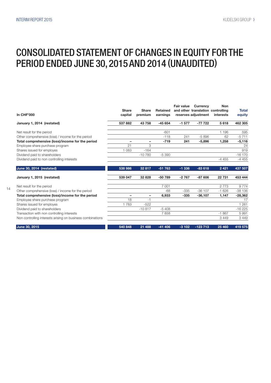### CONSOLIDATED STATEMENT OF CHANGES IN EQUITY FOR THE PERIOD ENDED JUNE 30, 2015 AND 2014 (UNAUDITED)

| <b>In CHF'000</b>                                          | <b>Share</b><br>capital | <b>Share</b><br>premium | <b>Retained</b><br>earnings | <b>Fair value</b> | <b>Currency</b><br>and other translation controlling<br>reserves adjustment | <b>Non</b><br>interests | <b>Total</b><br>equity |
|------------------------------------------------------------|-------------------------|-------------------------|-----------------------------|-------------------|-----------------------------------------------------------------------------|-------------------------|------------------------|
| January 1, 2014 (restated)                                 | 537882                  | 43 758                  | $-45654$                    | $-1577$           | $-77722$                                                                    | 5618                    | 462 305                |
| Net result for the period                                  |                         |                         | $-601$                      |                   |                                                                             | 1 1 9 6                 | 595                    |
| Other comprehensive (loss) / income for the period         |                         |                         | $-118$                      | 241               | $-5896$                                                                     | 62                      | $-5711$                |
| Total comprehensive (loss)/income for the period           | -                       | ۰                       | $-719$                      | 241               | $-5,896$                                                                    | 1,258                   | $-5,116$               |
| Employee share purchase program                            | 21                      | 3                       |                             |                   |                                                                             |                         | 24                     |
| Shares issued for employes                                 | 1 0 8 3                 | $-164$                  |                             |                   |                                                                             |                         | 919                    |
| Dividend paid to shareholders                              |                         | $-10780$                | $-5390$                     |                   |                                                                             |                         | $-16170$               |
| Dividend paid to non controlling interests                 |                         |                         |                             |                   |                                                                             | $-4455$                 | $-4455$                |
| June 30, 2014 (restated)                                   | 538 986                 | 32 817                  | $-51763$                    | $-1.336$          | $-83618$                                                                    | 2 4 2 1                 | 437 507                |
| January 1, 2015 (restated)                                 | 539 047                 | 32 8 28                 | $-50789$                    | $-2767$           | $-87606$                                                                    | 22 731                  | 453 444                |
| Net result for the period                                  |                         |                         | 7 0 0 1                     |                   |                                                                             | 2773                    | 9774                   |
| Other comprehensive (loss) / income for the period         |                         |                         | $-68$                       | $-335$            | $-36107$                                                                    | $-1626$                 | $-38136$               |
| Total comprehensive (loss)/income for the period           | -                       | -                       | 6,933                       | $-335$            | $-36,107$                                                                   | 1,147                   | $-28,362$              |
| Employee share purchase program                            | 18                      | $-1$                    |                             |                   |                                                                             |                         | 17                     |
| Shares issued for employes                                 | 1783                    | $-522$                  |                             |                   |                                                                             |                         | 1 2 6 1                |
| Dividend paid to shareholders                              |                         | $-10.817$               | $-5408$                     |                   |                                                                             |                         | $-16225$               |
| Transaction with non controlling interests                 |                         |                         | 7858                        |                   |                                                                             | $-1867$                 | 5991                   |
| Non controlling interests arising on business combinations |                         |                         |                             |                   |                                                                             | 3 4 4 9                 | 3449                   |
| June 30, 2015                                              | 540 848                 | 21 488                  | $-41406$                    | $-3102$           | $-123713$                                                                   | 25 460                  | 419 575                |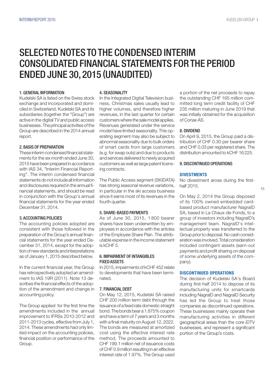#### 1. GENERAL INFORMATION

Kudelski SA is listed on the Swiss stock exchange and incorporated and domiciled in Switzerland. Kudelski SA and its subsidiaries (together the "Group") are active in the digital TV and public access businesses. The principal activities of the Group are described in the 2014 annual report.

#### 2. BASIS OF PREPARATION

These interim condensed financial statements for the six month ended June 30, 2015 have been prepared in accordance with IAS 34, "Interim Financial Reporting". The interim condensed financial statements do not include all information and disclosures required in the annual financial statements, and should be read in conjunction with the Group's annual financial statements for the year ended December 31, 2014.

#### 3. ACCOUNTING POLICIES

The accounting policies adopted are consistent with those followed in the preparation of the Group's annual financial statements for the year ended December 31, 2014, except for the adoption of new standards and interpretations as of January 1, 2015 described below.

In the current financial year, the Group has retrospectively adopted an amendment to IAS 19R (2011). Note 13 describes the financial effects of the adoption of the amendment and change in accounting policy.

The Group applied for the first time the amendments included in the annual improvement to IFRSs 2010-2012 and 2011-2013 cycles, effective from July 1, 2014. These amendments had only limited impact on the accounting policies, financial position or performance of the Group.

#### 4. SEASONALITY

In the Integrated Digital Television business, Christmas sales usually lead to higher volumes, and therefore higher revenues, in the last quarter for certain customers where the sale model applies. Revenues generated under the service model have limited seasonality. This operating segment may also be subject to abnormal seasonality due to bulk orders of smart cards from large customers (e.g. for swap outs) and due to products and services delivered to newly acquired customers as well as large patent licensing contracts.

The Public Access segment (SKIDATA) has strong seasonal revenue variations, in particular in the ski access business since it earns most of its revenues in the fourth quarter.

#### 5. SHARE-BASED PAYMENTS

As of June 30, 2015, 1 800 bearer shares have been underwritten by employees in accordance with the articles of the Employee Share Plan. The attributable expense in the income statement is kCHF 5.

#### 6. IMPAIRMENT OF INTANGIBLES FIXED ASSETS

In 2015, impairments of kCHF 452 relate to developments that have been terminated.

#### 7. FINANCIAL DEBT

On May 12, 2015, Kudelski SA raised CHF 200 million term debt through the issuance of a fixed rate domestic straight bond. The bonds bear a 1.875% coupon and have a term of 7 years and 3 months with a final maturity on August 12, 2022. The bonds are measured at amortized cost using the effective interest rate method. The proceeds amounted to CHF 199.1 million net of issuance costs of CHF 0.9 million resulting in an effective interest rate of 1.97%. The Group used a portion of the net proceeds to repay the outstanding CHF 165 million committed long term credit facility of CHF 235 million maturing in June 2019 that was initially obtained for the acquisition of Conax AS.

#### 8. DIVIDEND

On April 9, 2015, the Group paid a distribution of CHF 0.30 per bearer share and CHF 0.03 per registered share. The distribution amounted to kCHF 16225.

#### 9. DISCONTINUED OPERATIONS

#### **DIVESTMENTS**

No divestment arose during the firsthalf 2015.

On May 2, 2014 the Group disposed of its 100% owned embedded cardbased product manufacturer NagraID SA, based in La Chaux-de-Fonds, to a group of investors including NagraID's management team. NagraID's intellectual property was transferred to the Group prior to disposal. No cash consideration was involved. Total consideration included contingent assets (earn-out payments and profit sharing on disposal of some underlying assets of the company).

#### DISCONTINUED OPERATIONS

The decision of Kudelski SA's Board during first-half 2014 to dispose of its manufacturing units for smartcards including NagraID and NagraID Security has led the Group to treat those companies as discontinued operations. These businesses mainly operate their manufacturing activities in different geographical areas than the core iDTV businesses, and represent a significant portion of the Group's costs.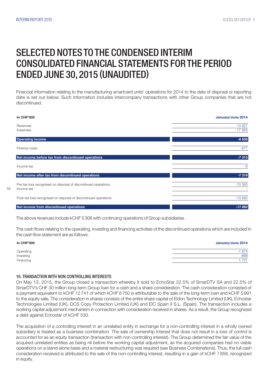Financial information relating to the manufacturing smartcard units' operations for 2014 to the date of disposal or reporting date is set out below. Such information includes intercompany transactions with other Group companies that are not discontinued.



The above revenues include kCHF 5306 with continuing operations of Group subsidiaries.

The cash flows relating to the operating, investing and financing activities of the discontinued operations which are included in the cash flow statement are as follows:

| <b>In CHF'000</b>      | January/June 2014 |
|------------------------|-------------------|
|                        | $-1874$           |
| Operating<br>Investing | $-868$            |
| Financing              | 721               |

#### 10. TRANSACTION WITH NON CONTROLLING INTERESTS

On May 13, 2015, the Group closed a transaction whereby it sold to EchoStar 22.5% of SmarDTV SA and 22.5% of SmarDTV's CHF 30 million long-term Group loan for a cash and a share consideration. The cash consideration consisted of a payment equivalent to kCHF 12741 of which kCHF 6750 is attributable to the sale of the long-term loan and kCHF 5991 to the equity sale. The consideration in shares consists of the entire share capital of Eldon Technology Limited (UK), Echostar Technologies Limited (UK), DCS Copy Protection Limited (UK) and EIC Spain II S.L. (Spain). The transaction includes a working capital adjustment mechanism in connection with consideration received in shares. As a result, the Group recognized a debt against Echostar of kCHF 530.

The acquisition of a controlling interest in an unrelated entity in exchange for a non-controlling interest in a wholly owned subsidiary is treated as a business combination. The sale of ownership interest that does not result in a loss of control is accounted for as an equity transaction (transaction with non-controlling interest). The Group determined the fair value of the acquired unrelated entities as being nil before the working capital adjustment, as the acquired companies had no viable operations on a stand-alone basis and a material restructuring was required (see Business Combinations). Thus, the full cash consideration received is attributed to the sale of the non-controlling interest, resulting in a gain of kCHF 7 858, recognized in equity.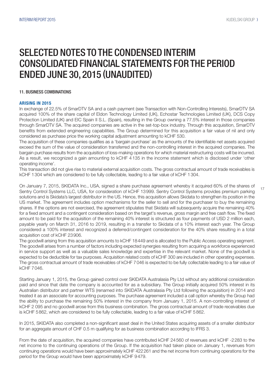### SELECTED NOTES TO THE CONDENSED INTERIM CONSOLIDATED FINANCIAL STATEMENTS FOR THE PERIOD ENDED JUNE 30, 2015 (UNAUDITED)

#### 11. BUSINESS COMBINATIONS

#### ARISING IN 2015

In exchange of 22.5% of SmarDTV SA and a cash payment (see Transaction with Non-Controlling Interests), SmarDTV SA acquired 100% of the share capital of Eldon Technology Limited (UK), Echostar Technologies Limited (UK), DCS Copy Protection Limited (UK) and EIC Spain II S.L. (Spain), resulting in the Group owning a 77.5% interest in those companies through SmarDTV SA. The acquired companies are active in the set-top-box industry. Through this acquisition, SmarDTV benefits from extended engineering capabilities. The Group determined for this acquisition a fair value of nil and only considered as purchase price the working capital adjustment amounting to kCHF 530.

The acquisition of these companies qualifies as a 'bargain purchase' as the amounts of the identifiable net assets acquired exceed the sum of the value of consideration transferred and the non-controlling interest in the acquired companies. The bargain purchase results from the acquisition of loss-making operations for which material restructuring costs will be incurred. As a result, we recognized a gain amounting to kCHF 4 135 in the income statement which is disclosed under 'other operating income'.

This transaction did not give rise to material external acquisition costs. The gross contractual amount of trade receivables is kCHF 1304 which are considered to be fully collectable, leading to a fair value of kCHF 1 304.

On January 7, 2015, SKIDATA Inc., USA, signed a share purchase agreement whereby it acquired 60% of the shares of Sentry Control Systems LLC, USA, for consideration of kCHF 13999. Sentry Control Systems provides premium parking solutions and is Skidata's largest distributor in the US. Hence, this acquisition allows Skidata to strengthen its position in the US market. The agreement includes option mechanisms for the seller to sell and for the purchaser to buy the remaining shares. If the options are not exercised, the agreement stipulates that Skidata will subsequenty acquire the remaining 40% for a fixed amount and a contingent consideration based on the target's revenue, gross margin and free cash flow. The fixed amount to be paid for the acquisition of the remaining 40% interest is structured as four payments of USD 2 million each, payable yearly on March 31, 2016 to 2019, resulting in a transfer to Skidata of a 10% interest each year. The Group considered a 100% interest and recognized a deferred/contingent consideration for the 40% share resulting in a total acquisition cost of kCHF 23906.

The goodwill arising from this acquisition amounts to kCHF 18449 and is allocated to the Public Access operating segment. The goodwill arises from a number of factors including expected synergies resulting from acquiring a workforce experienced in service support as well as a valuable sales knowledge and expertise in the relevant market. None of the goodwill is expected to be deductible for tax purposes. Acquisition related costs of kCHF 300 are included in other operating expenses. The gross contractual amount of trade receivables of kCHF 7046 is expected to be fully collectable leading to a fair value of kCHF 7046.

Starting January 1, 2015, the Group gained control over SKIDATA Australasia Pty Ltd without any additional consideration paid and since that date the company is accounted for as a subsidiary. The Group initially acquired 50% interest in its Australian distributor and partner WTS (renamed into SKIDATA Australasia Pty Ltd following the acquisition) in 2014 and treated it as an associate for accounting purposes. The purchase agreement included a call option whereby the Group had the ability to purchase the remaining 50% interest in the company from January 1, 2015. A non-controlling interest of kCHF 2 095 and no goodwill arose from this business combination. The gross contractual amount of trade receivables due is kCHF 5862, which are considered to be fully collectable, leading to a fair value of kCHF 5 862.

In 2015, SKIDATA also completed a non-significant asset deal in the United States acquiring assets of a smaller distributor for an aggregate amount of CHF 0.5 m qualifying for as business combination according to IFRS 3.

From the date of acquisition, the acquired companies have contributed kCHF 24 560 of revenues and kCHF -2283 to the net income to the continuing operations of the Group. If the acquisition had taken place on January 1, revenues from continuing operations would have been approximately kCHF 422261 and the net income from continuing operations for the period for the Group would have been approximately kCHF 9479.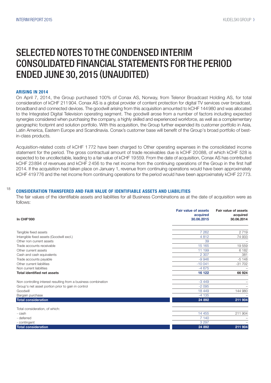#### ARISING IN 2014

On April 7, 2014, the Group purchased 100% of Conax AS, Norway, from Telenor Broadcast Holding AS, for total consideration of kCHF 211904. Conax AS is a global provider of content protection for digital TV services over broadcast, broadband and connected devices. The goodwill arising from this acquisition amounted to kCHF 144980 and was allocated to the Integrated Digital Television operating segment. The goodwill arose from a number of factors including expected synergies considered when purchasing the company, a highly skilled and experienced workforce, as well as a complementary geographic footprint and solution portfolio. With this acquisition, the Group further expended its customer portfolio in Asia, Latin America, Eastern Europe and Scandinavia. Conax's customer base will benefit of the Group's broad portfolio of bestin-class products.

Acquisition-related costs of kCHF 1 772 have been charged to Other operating expenses in the consolidated income statement for the period. The gross contractual amount of trade receivables due is kCHF 20088, of which kCHF 528 is expected to be uncollectable, leading to a fair value of kCHF 19559. From the date of acquisition, Conax AS has contributed kCHF 23894 of revenues and kCHF 2456 to the net income from the continuing operations of the Group in the first half 2014. If the acquisition had taken place on January 1, revenue from continuing operations would have been approximately kCHF 419776 and the net income from continuing operations for the period would have been approximately kCHF 22 773.

#### 18

#### CONSIDERATION TRANSFERED AND FAIR VALUE OF IDENTIFIABLE ASSETS AND LIABILITIES

The fair values of the identifiable assets and liabilities for all Business Combinations as at the date of acquisition were as follows:

| <b>In CHF'000</b>                                              | <b>Fair value of assets</b><br>acquired<br>30.06.2015 | <b>Fair value of assets</b><br>acquired<br>30.06.2014 |
|----------------------------------------------------------------|-------------------------------------------------------|-------------------------------------------------------|
| Tangible fixed assets                                          | 7 2 6 2                                               | 2719                                                  |
| Intangible fixed assets (Goodwill excl.)                       | 4812                                                  | 74 933                                                |
| Other non current assets                                       | 39                                                    |                                                       |
| Trade accounts receivable                                      | 15 165                                                | 19559                                                 |
| Other current assets                                           | 11 199                                                | 6 1 8 2                                               |
| Cash and cash equivalents                                      | 2 3 0 7                                               | 381                                                   |
| Trade accounts payable                                         | $-9946$                                               | $-5148$                                               |
| Other current liabilities                                      | $-10041$                                              | $-31702$                                              |
| Non current liabilities                                        | $-4675$                                               |                                                       |
| <b>Total identified net assets</b>                             | 16 122                                                | 66 924                                                |
| Non controlling interest resulting from a business combination | $-3449$                                               |                                                       |
| Group's net asset portion prior to gain in control             | $-2095$                                               |                                                       |
| Goodwill                                                       | 18 4 4 9                                              | 144 980                                               |
| Bargain purchase                                               | $-4135$                                               |                                                       |
| <b>Total consideration</b>                                     | 24 892                                                | 211 904                                               |
| Total consideration, of which:                                 |                                                       |                                                       |
| - cash                                                         | 14 4 5 5                                              | 211 904                                               |
| - deferred                                                     | 7 140                                                 |                                                       |
| - contingent                                                   | 3 2 9 7                                               |                                                       |
| <b>Total consideration</b>                                     | 24 892                                                | 211 904                                               |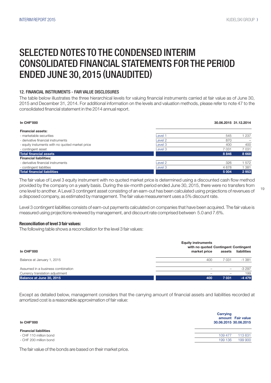#### 12. FINANCIAL INSTRUMENTS - FAIR VALUE DISCLOSURES

The table below illustrates the three hierarchical levels for valuing financial instruments carried at fair value as of June 30, 2015 and December 31, 2014. For additional information on the levels and valuation methods, please refer to note 47 to the consolidated financial statement in the 2014 annual report.

| <b>In CHF'000</b>                               |         | 30.06.2015 31.12.2014 |         |
|-------------------------------------------------|---------|-----------------------|---------|
| <b>Financial assets:</b>                        |         |                       |         |
| - marketable securities                         | Level 1 | 545                   | 1 237   |
| - derivative financial instruments              | Level 2 | 870                   |         |
| - equity instuments with no quoted market price | Level 3 | 400                   | 400     |
| - contingent asset                              | Level 3 | 7 0 31                | 7031    |
| <b>Total financial assets</b>                   |         | 8 8 4 6               | 8 6 6 8 |
| <b>Financial liabilities:</b>                   |         |                       |         |
| - derivative financial instruments              | Level 2 | 326                   | 1572    |
| - contingent liabilities                        | Level 3 | 4678                  | 1 381   |
| Total financial liabilities                     |         | 5 0 0 4               | 2953    |

The fair value of Level 3 equity instrument with no quoted market price is determined using a discounted cash flow method provided by the company on a yearly basis. During the six-month period ended June 30, 2015, there were no transfers from one level to another. A Level 3 contingent asset consisting of an earn-out has been calculated using projections of revenues of a disposed company, as estimated by management. The fair value measurement uses a 5% discount rate.

Level 3 contingent liabilities consists of earn-out payments calculated on companies that have been acquired. The fair value is measured using projections reviewed by management, and discount rate comprised between 5.0 and 7.6%.

#### Reconciliation of level 3 fair values:

The following table shows a reconciliation for the level 3 fair values:

|                                   | <b>Equity instruments</b><br>with no quoted Contingent Contingent |         |             |
|-----------------------------------|-------------------------------------------------------------------|---------|-------------|
| In CHF'000                        | market price                                                      | assets  | liabilities |
| Balance at January 1, 2015        | 400                                                               | 7031    | $-1.381$    |
| Assumed in a business combination |                                                                   |         | $-3297$     |
| Currency translation adjustment   |                                                                   |         | 199         |
| Balance at June 30, 2015          | 400                                                               | 7 0 3 1 | $-4479$     |

Except as detailed below, management considers that the carrying amount of financial assets and liabilities recorded at amortized cost is a reasonable approximation of fair value:

| In CHF'000                   | <b>Carrying</b><br>amount Fair value<br>30.06.2015 30.06.2015 |
|------------------------------|---------------------------------------------------------------|
| <b>Financial liabilities</b> |                                                               |
| - CHF 110 million bond       | 113 631<br>109 477                                            |
| - CHF 200 million bond       | 199 900<br>199 136                                            |

The fair value of the bonds are based on their market price.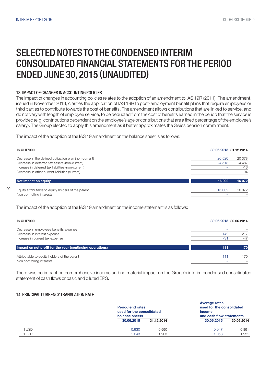### SELECTED NOTES TO THE CONDENSED INTERIM CONSOLIDATED FINANCIAL STATEMENTS FOR THE PERIOD ENDED JUNE 30, 2015 (UNAUDITED)

#### 13. IMPACT OF CHANGES IN ACCOUNTING POLICIES

The impact of changes in accounting policies relates to the adoption of an amendment to IAS 19R (2011). The amendment, issued in November 2013, clarifies the application of IAS 19R to post-employment benefit plans that require employees or third parties to contribute towards the cost of benefits. The amendment allows contributions that are linked to service, and do not vary with length of employee service, to be deducted from the cost of benefits earned in the period that the service is provided (e.g. contributions dependent on the employee's age or contributions that are a fixed percentage of the employee's salary). The Group elected to apply this amendment as it better approximates the Swiss pension commitment.

The impact of the adoption of the IAS 19 amendment on the balance sheet is as follows:

| <b>In CHF'000</b>                                     |         | 30.06.2015 31.12.2014 |
|-------------------------------------------------------|---------|-----------------------|
| Decrease in the defined obligation plan (non-current) | 20 5 20 | 20 378                |
| Decrease in deferred tax assets (non-current)         | $-4518$ | $-4487$               |
| Increase in deferred tax liabilities (non-current)    |         | $-13$                 |
| Decrease in other current liabilities (current)       |         | 194                   |
| Net impact on equity                                  | 16 002  | 16 072                |
| Equity attributable to equity holders of the parent   | 16 002  | 16 072                |
| Non controlling interests                             |         |                       |

The impact of the adoption of the IAS 19 amendment on the income statement is as follows:

| <b>In CHF'000</b>                                                                                         |              | 30.06.2015 30.06.2014 |
|-----------------------------------------------------------------------------------------------------------|--------------|-----------------------|
| Decrease in employees benefits expense<br>Decrease in interest expense<br>Increase in current tax expense | 142<br>$-31$ | 217<br>$-47$          |
| Impact on net profit for the year (continuing operations)                                                 | 111          | 170                   |
| Attributable to equity holders of the parent<br>Non controlling interests                                 | 111          | 170                   |

There was no impact on comprehensive income and no material impact on the Group's interim condensed consolidated statement of cash flows or basic and diluted EPS.

#### 14. PRINCIPAL CURRENCY TRANSLATION RATE

|            | balance sheets | <b>Period end rates</b><br>used for the consolidated |            | used for the consolidated<br>and cash flow statements |
|------------|----------------|------------------------------------------------------|------------|-------------------------------------------------------|
|            | 30.06.2015     | 31.12.2014                                           | 30.06.2015 | 30.06.2014                                            |
| <b>USD</b> | 0.930          | 0.990                                                | 0.947      | 0.891                                                 |
| <b>EUR</b> | 1.043          | .203                                                 | 1.058      | 1.221                                                 |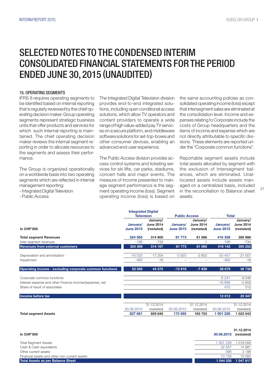#### 15. OPERATING SEGMENTS

IFRS 8 requires operating segments to be identified based on internal reporting that is regularly reviewed by the chief operating decision maker. Group operating segments represent strategic business units that offer products and services for which such internal reporting is maintained. The chief operating decision maker reviews the internal segment reporting in order to allocate resources to the segments and assess their performance.

The Group is organized operationally on a worldwide basis into two operating segments which are reflected in internal management reporting:

- Integrated Digital Television

- Public Access

The Integrated Digital Television division provides end-to-end integrated solutions, including open conditional access solutions, which allow TV operators and content providers to operate a wide range of high value-added pay TV services on a secure platform, and middleware software solutions for set-top-boxes and other consumer devices, enabling an advanced end-user experience.

The Public Access division provides access control systems and ticketing services for ski lifts, car parks, stadiums, concert halls and major events. The measure of income presented to manage segment performance is the segment operating income (loss). Segment operating income (loss) is based on

Integrated Digital

the same accounting policies as consolidated operating income (loss) except that intersegment sales are eliminated at the consolidation level. Income and expenses relating to Corporate include the costs of Group headquarters and the items of income and expense which are not directly attributable to specific divisions. These elements are reported under the "Corporate common functions".

Reportable segment assets include total assets allocated by segment with the exclusion of Intersegment balances, which are eliminated. Unallocated assets include assets managed on a centralized basis, included in the reconciliation to Balance sheet assets.

|                                                          | Integrated Digital<br><b>Television</b> |                                            | <b>Public Access</b>         |                                            | <b>Total</b>                 |                                            |
|----------------------------------------------------------|-----------------------------------------|--------------------------------------------|------------------------------|--------------------------------------------|------------------------------|--------------------------------------------|
| <b>In CHF'000</b>                                        | January/<br><b>June 2015</b>            | January/<br><b>June 2014</b><br>(restated) | January/<br><b>June 2015</b> | January/<br><b>June 2014</b><br>(restated) | January/<br><b>June 2015</b> | January/<br><b>June 2014</b><br>(restated) |
| <b>Total segment Revenues</b>                            | 324 565                                 | 314 900                                    | 91 773                       | 81 086                                     | 416 338                      | 395 986                                    |
| Inter-segment revenues                                   | $-196$                                  | $-733$                                     |                              | -1                                         | $-196$                       | $-734$                                     |
| <b>Revenues from external customers</b>                  | 324 369                                 | $314$ 167                                  | 91 773                       | 81 085                                     | 416 142                      | 395 252                                    |
| Depreciation and amortisation                            | $-16532$                                | $-17204$                                   | $-3925$                      | $-3803$                                    | $-20457$                     | $-21007$                                   |
| Impairment                                               | $-460$                                  | $-16$                                      |                              |                                            | $-460$                       | $-16$                                      |
| Operating income - excluding corporate common functions  | 52 595                                  | 44 575                                     | $-13916$                     | $-7839$                                    | 38 679                       | 36 736                                     |
| Corporate common functions                               |                                         |                                            |                              |                                            | $-8241$                      | $-9046$                                    |
| Interest expense and other Finance income/(expense), net |                                         |                                            |                              |                                            | $-18896$                     | $-5658$                                    |
| Share of result of associates                            |                                         |                                            |                              |                                            | 470                          | 315                                        |
| Income before tax                                        |                                         |                                            |                              |                                            | 12012                        | 22 347                                     |
|                                                          |                                         | 31.12.2014                                 |                              | 31.12.2014                                 |                              | 31.12.2014                                 |
|                                                          | 30.06.2015                              | (restated)                                 | 30.06.2015                   | (restated)                                 | 30.06.2015                   | (restated)                                 |
| <b>Total segment Assets</b>                              | 827 661                                 | 859 840                                    | 173 565                      | 163 703                                    | 1 001 226                    | 1 023 543                                  |

|                                               |            | 31.12.2014          |  |
|-----------------------------------------------|------------|---------------------|--|
| <b>In CHF'000</b>                             | 30.06.2015 | (restated)          |  |
| <b>Total Segment Assets</b>                   | 1 001 226  | 1019056             |  |
| Cash & Cash equivalents                       | 32 557     | 14 981              |  |
| Other current assets                          | 396        | 3 1 9 8             |  |
| Financial assets and other non-current assets | 10 156     | 10582               |  |
| <b>Total Assets as per Balance Sheet</b>      |            | 1 044 335 1 047 817 |  |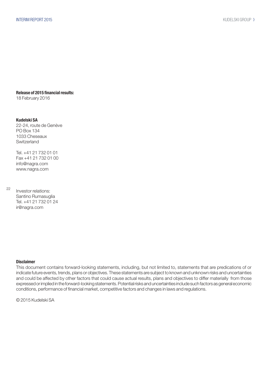Release of 2015 financial results:

18 February 2016

#### Kudelski SA

22-24, route de Genève PO Box 134 1033 Cheseaux **Switzerland** 

Tel. +41 21 732 01 01 Fax +41 21 732 01 00 info@nagra.com www.nagra.com

22

Investor relations: Santino Rumasuglia Tel. +41 21 732 01 24 ir@nagra.com

#### Disclaimer

This document contains forward-looking statements, including, but not limited to, statements that are predications of or indicate future events, trends, plans or objectives. These statements are subject to known and unknown risks and uncertainties and could be affected by other factors that could cause actual results, plans and objectives to differ materially from those expressed or implied in the forward-looking statements. Potential risks and uncertainties include such factors as general economic conditions, performance of financial market, competitive factors and changes in laws and regulations.

© 2015 Kudelski SA